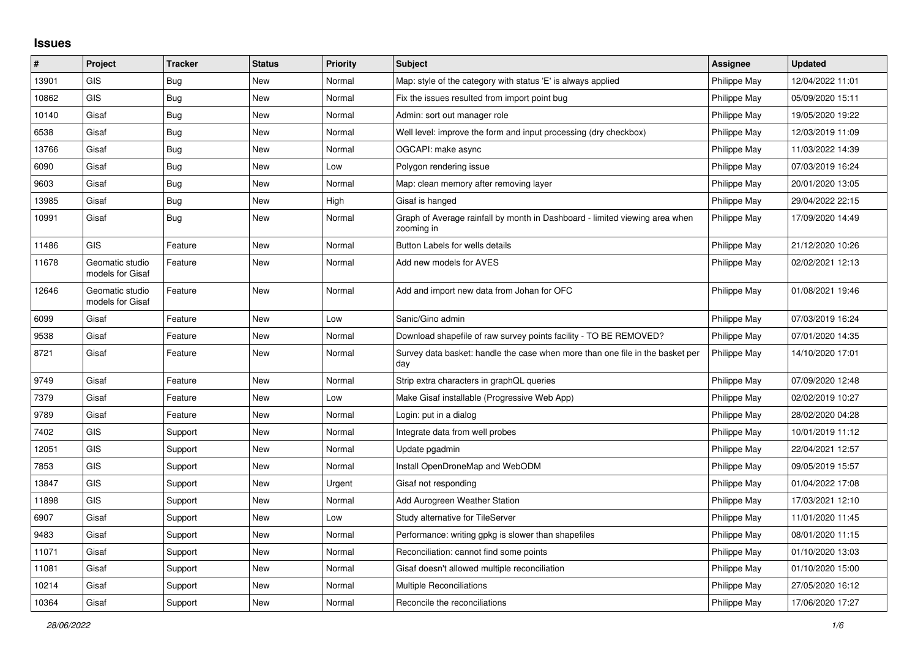## **Issues**

| #     | Project                             | <b>Tracker</b> | <b>Status</b> | <b>Priority</b> | <b>Subject</b>                                                                            | Assignee     | <b>Updated</b>   |
|-------|-------------------------------------|----------------|---------------|-----------------|-------------------------------------------------------------------------------------------|--------------|------------------|
| 13901 | <b>GIS</b>                          | Bug            | <b>New</b>    | Normal          | Map: style of the category with status 'E' is always applied                              | Philippe May | 12/04/2022 11:01 |
| 10862 | <b>GIS</b>                          | Bug            | <b>New</b>    | Normal          | Fix the issues resulted from import point bug                                             | Philippe May | 05/09/2020 15:11 |
| 10140 | Gisaf                               | Bug            | <b>New</b>    | Normal          | Admin: sort out manager role                                                              | Philippe May | 19/05/2020 19:22 |
| 6538  | Gisaf                               | <b>Bug</b>     | <b>New</b>    | Normal          | Well level: improve the form and input processing (dry checkbox)                          | Philippe May | 12/03/2019 11:09 |
| 13766 | Gisaf                               | Bug            | <b>New</b>    | Normal          | OGCAPI: make async                                                                        | Philippe May | 11/03/2022 14:39 |
| 6090  | Gisaf                               | Bug            | <b>New</b>    | Low             | Polygon rendering issue                                                                   | Philippe May | 07/03/2019 16:24 |
| 9603  | Gisaf                               | Bug            | <b>New</b>    | Normal          | Map: clean memory after removing layer                                                    | Philippe May | 20/01/2020 13:05 |
| 13985 | Gisaf                               | Bug            | <b>New</b>    | High            | Gisaf is hanged                                                                           | Philippe May | 29/04/2022 22:15 |
| 10991 | Gisaf                               | Bug            | <b>New</b>    | Normal          | Graph of Average rainfall by month in Dashboard - limited viewing area when<br>zooming in | Philippe May | 17/09/2020 14:49 |
| 11486 | <b>GIS</b>                          | Feature        | <b>New</b>    | Normal          | Button Labels for wells details                                                           | Philippe May | 21/12/2020 10:26 |
| 11678 | Geomatic studio<br>models for Gisaf | Feature        | <b>New</b>    | Normal          | Add new models for AVES                                                                   | Philippe May | 02/02/2021 12:13 |
| 12646 | Geomatic studio<br>models for Gisaf | Feature        | <b>New</b>    | Normal          | Add and import new data from Johan for OFC                                                | Philippe May | 01/08/2021 19:46 |
| 6099  | Gisaf                               | Feature        | <b>New</b>    | Low             | Sanic/Gino admin                                                                          | Philippe May | 07/03/2019 16:24 |
| 9538  | Gisaf                               | Feature        | <b>New</b>    | Normal          | Download shapefile of raw survey points facility - TO BE REMOVED?                         | Philippe May | 07/01/2020 14:35 |
| 8721  | Gisaf                               | Feature        | <b>New</b>    | Normal          | Survey data basket: handle the case when more than one file in the basket per<br>day      | Philippe May | 14/10/2020 17:01 |
| 9749  | Gisaf                               | Feature        | <b>New</b>    | Normal          | Strip extra characters in graphQL queries                                                 | Philippe May | 07/09/2020 12:48 |
| 7379  | Gisaf                               | Feature        | <b>New</b>    | Low             | Make Gisaf installable (Progressive Web App)                                              | Philippe May | 02/02/2019 10:27 |
| 9789  | Gisaf                               | Feature        | <b>New</b>    | Normal          | Login: put in a dialog                                                                    | Philippe May | 28/02/2020 04:28 |
| 7402  | <b>GIS</b>                          | Support        | <b>New</b>    | Normal          | Integrate data from well probes                                                           | Philippe May | 10/01/2019 11:12 |
| 12051 | <b>GIS</b>                          | Support        | <b>New</b>    | Normal          | Update pgadmin                                                                            | Philippe May | 22/04/2021 12:57 |
| 7853  | <b>GIS</b>                          | Support        | <b>New</b>    | Normal          | Install OpenDroneMap and WebODM                                                           | Philippe May | 09/05/2019 15:57 |
| 13847 | <b>GIS</b>                          | Support        | <b>New</b>    | Urgent          | Gisaf not responding                                                                      | Philippe May | 01/04/2022 17:08 |
| 11898 | <b>GIS</b>                          | Support        | <b>New</b>    | Normal          | Add Aurogreen Weather Station                                                             | Philippe May | 17/03/2021 12:10 |
| 6907  | Gisaf                               | Support        | <b>New</b>    | Low             | Study alternative for TileServer                                                          | Philippe May | 11/01/2020 11:45 |
| 9483  | Gisaf                               | Support        | <b>New</b>    | Normal          | Performance: writing gpkg is slower than shapefiles                                       | Philippe May | 08/01/2020 11:15 |
| 11071 | Gisaf                               | Support        | New           | Normal          | Reconciliation: cannot find some points                                                   | Philippe May | 01/10/2020 13:03 |
| 11081 | Gisaf                               | Support        | <b>New</b>    | Normal          | Gisaf doesn't allowed multiple reconciliation                                             | Philippe May | 01/10/2020 15:00 |
| 10214 | Gisaf                               | Support        | New           | Normal          | <b>Multiple Reconciliations</b>                                                           | Philippe May | 27/05/2020 16:12 |
| 10364 | Gisaf                               | Support        | New           | Normal          | Reconcile the reconciliations                                                             | Philippe May | 17/06/2020 17:27 |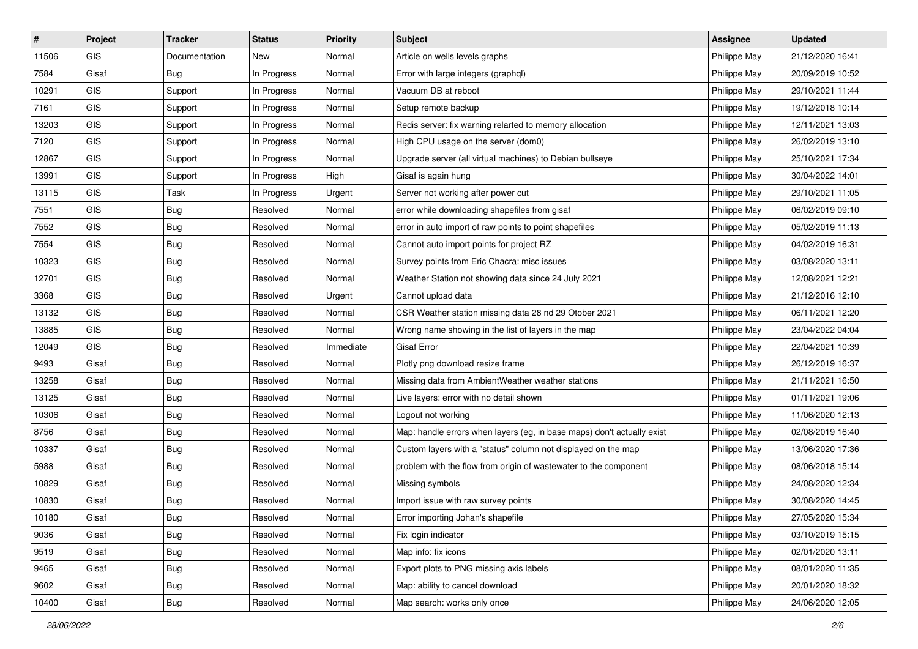| #     | Project    | <b>Tracker</b> | <b>Status</b> | <b>Priority</b> | Subject                                                                | <b>Assignee</b> | <b>Updated</b>   |
|-------|------------|----------------|---------------|-----------------|------------------------------------------------------------------------|-----------------|------------------|
| 11506 | <b>GIS</b> | Documentation  | New           | Normal          | Article on wells levels graphs                                         | Philippe May    | 21/12/2020 16:41 |
| 7584  | Gisaf      | Bug            | In Progress   | Normal          | Error with large integers (graphql)                                    | Philippe May    | 20/09/2019 10:52 |
| 10291 | GIS        | Support        | In Progress   | Normal          | Vacuum DB at reboot                                                    | Philippe May    | 29/10/2021 11:44 |
| 7161  | GIS        | Support        | In Progress   | Normal          | Setup remote backup                                                    | Philippe May    | 19/12/2018 10:14 |
| 13203 | GIS        | Support        | In Progress   | Normal          | Redis server: fix warning relarted to memory allocation                | Philippe May    | 12/11/2021 13:03 |
| 7120  | <b>GIS</b> | Support        | In Progress   | Normal          | High CPU usage on the server (dom0)                                    | Philippe May    | 26/02/2019 13:10 |
| 12867 | GIS        | Support        | In Progress   | Normal          | Upgrade server (all virtual machines) to Debian bullseye               | Philippe May    | 25/10/2021 17:34 |
| 13991 | GIS        | Support        | In Progress   | High            | Gisaf is again hung                                                    | Philippe May    | 30/04/2022 14:01 |
| 13115 | GIS        | Task           | In Progress   | Urgent          | Server not working after power cut                                     | Philippe May    | 29/10/2021 11:05 |
| 7551  | <b>GIS</b> | Bug            | Resolved      | Normal          | error while downloading shapefiles from gisaf                          | Philippe May    | 06/02/2019 09:10 |
| 7552  | <b>GIS</b> | <b>Bug</b>     | Resolved      | Normal          | error in auto import of raw points to point shapefiles                 | Philippe May    | 05/02/2019 11:13 |
| 7554  | GIS        | <b>Bug</b>     | Resolved      | Normal          | Cannot auto import points for project RZ                               | Philippe May    | 04/02/2019 16:31 |
| 10323 | GIS        | Bug            | Resolved      | Normal          | Survey points from Eric Chacra: misc issues                            | Philippe May    | 03/08/2020 13:11 |
| 12701 | GIS        | <b>Bug</b>     | Resolved      | Normal          | Weather Station not showing data since 24 July 2021                    | Philippe May    | 12/08/2021 12:21 |
| 3368  | <b>GIS</b> | <b>Bug</b>     | Resolved      | Urgent          | Cannot upload data                                                     | Philippe May    | 21/12/2016 12:10 |
| 13132 | <b>GIS</b> | <b>Bug</b>     | Resolved      | Normal          | CSR Weather station missing data 28 nd 29 Otober 2021                  | Philippe May    | 06/11/2021 12:20 |
| 13885 | GIS        | <b>Bug</b>     | Resolved      | Normal          | Wrong name showing in the list of layers in the map                    | Philippe May    | 23/04/2022 04:04 |
| 12049 | GIS        | <b>Bug</b>     | Resolved      | Immediate       | <b>Gisaf Error</b>                                                     | Philippe May    | 22/04/2021 10:39 |
| 9493  | Gisaf      | <b>Bug</b>     | Resolved      | Normal          | Plotly png download resize frame                                       | Philippe May    | 26/12/2019 16:37 |
| 13258 | Gisaf      | <b>Bug</b>     | Resolved      | Normal          | Missing data from AmbientWeather weather stations                      | Philippe May    | 21/11/2021 16:50 |
| 13125 | Gisaf      | <b>Bug</b>     | Resolved      | Normal          | Live layers: error with no detail shown                                | Philippe May    | 01/11/2021 19:06 |
| 10306 | Gisaf      | <b>Bug</b>     | Resolved      | Normal          | Logout not working                                                     | Philippe May    | 11/06/2020 12:13 |
| 8756  | Gisaf      | Bug            | Resolved      | Normal          | Map: handle errors when layers (eg, in base maps) don't actually exist | Philippe May    | 02/08/2019 16:40 |
| 10337 | Gisaf      | <b>Bug</b>     | Resolved      | Normal          | Custom layers with a "status" column not displayed on the map          | Philippe May    | 13/06/2020 17:36 |
| 5988  | Gisaf      | <b>Bug</b>     | Resolved      | Normal          | problem with the flow from origin of wastewater to the component       | Philippe May    | 08/06/2018 15:14 |
| 10829 | Gisaf      | <b>Bug</b>     | Resolved      | Normal          | Missing symbols                                                        | Philippe May    | 24/08/2020 12:34 |
| 10830 | Gisaf      | <b>Bug</b>     | Resolved      | Normal          | Import issue with raw survey points                                    | Philippe May    | 30/08/2020 14:45 |
| 10180 | Gisaf      | <b>Bug</b>     | Resolved      | Normal          | Error importing Johan's shapefile                                      | Philippe May    | 27/05/2020 15:34 |
| 9036  | Gisaf      | <b>Bug</b>     | Resolved      | Normal          | Fix login indicator                                                    | Philippe May    | 03/10/2019 15:15 |
| 9519  | Gisaf      | Bug            | Resolved      | Normal          | Map info: fix icons                                                    | Philippe May    | 02/01/2020 13:11 |
| 9465  | Gisaf      | <b>Bug</b>     | Resolved      | Normal          | Export plots to PNG missing axis labels                                | Philippe May    | 08/01/2020 11:35 |
| 9602  | Gisaf      | <b>Bug</b>     | Resolved      | Normal          | Map: ability to cancel download                                        | Philippe May    | 20/01/2020 18:32 |
| 10400 | Gisaf      | Bug            | Resolved      | Normal          | Map search: works only once                                            | Philippe May    | 24/06/2020 12:05 |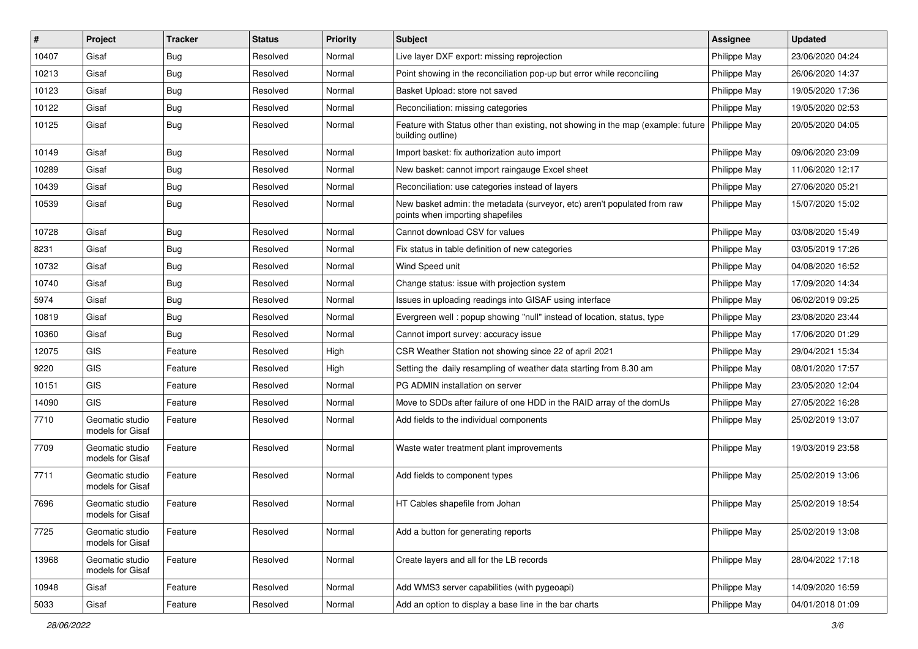| ∦     | Project                             | <b>Tracker</b> | <b>Status</b> | <b>Priority</b> | <b>Subject</b>                                                                                                       | <b>Assignee</b> | <b>Updated</b>   |
|-------|-------------------------------------|----------------|---------------|-----------------|----------------------------------------------------------------------------------------------------------------------|-----------------|------------------|
| 10407 | Gisaf                               | <b>Bug</b>     | Resolved      | Normal          | Live layer DXF export: missing reprojection                                                                          | Philippe May    | 23/06/2020 04:24 |
| 10213 | Gisaf                               | <b>Bug</b>     | Resolved      | Normal          | Point showing in the reconciliation pop-up but error while reconciling                                               | Philippe May    | 26/06/2020 14:37 |
| 10123 | Gisaf                               | <b>Bug</b>     | Resolved      | Normal          | Basket Upload: store not saved                                                                                       | Philippe May    | 19/05/2020 17:36 |
| 10122 | Gisaf                               | <b>Bug</b>     | Resolved      | Normal          | Reconciliation: missing categories                                                                                   | Philippe May    | 19/05/2020 02:53 |
| 10125 | Gisaf                               | <b>Bug</b>     | Resolved      | Normal          | Feature with Status other than existing, not showing in the map (example: future   Philippe May<br>building outline) |                 | 20/05/2020 04:05 |
| 10149 | Gisaf                               | <b>Bug</b>     | Resolved      | Normal          | Import basket: fix authorization auto import                                                                         | Philippe May    | 09/06/2020 23:09 |
| 10289 | Gisaf                               | <b>Bug</b>     | Resolved      | Normal          | New basket: cannot import raingauge Excel sheet                                                                      | Philippe May    | 11/06/2020 12:17 |
| 10439 | Gisaf                               | <b>Bug</b>     | Resolved      | Normal          | Reconciliation: use categories instead of layers                                                                     | Philippe May    | 27/06/2020 05:21 |
| 10539 | Gisaf                               | <b>Bug</b>     | Resolved      | Normal          | New basket admin: the metadata (surveyor, etc) aren't populated from raw<br>points when importing shapefiles         | Philippe May    | 15/07/2020 15:02 |
| 10728 | Gisaf                               | <b>Bug</b>     | Resolved      | Normal          | Cannot download CSV for values                                                                                       | Philippe May    | 03/08/2020 15:49 |
| 8231  | Gisaf                               | <b>Bug</b>     | Resolved      | Normal          | Fix status in table definition of new categories                                                                     | Philippe May    | 03/05/2019 17:26 |
| 10732 | Gisaf                               | <b>Bug</b>     | Resolved      | Normal          | Wind Speed unit                                                                                                      | Philippe May    | 04/08/2020 16:52 |
| 10740 | Gisaf                               | <b>Bug</b>     | Resolved      | Normal          | Change status: issue with projection system                                                                          | Philippe May    | 17/09/2020 14:34 |
| 5974  | Gisaf                               | Bug            | Resolved      | Normal          | Issues in uploading readings into GISAF using interface                                                              | Philippe May    | 06/02/2019 09:25 |
| 10819 | Gisaf                               | <b>Bug</b>     | Resolved      | Normal          | Evergreen well: popup showing "null" instead of location, status, type                                               | Philippe May    | 23/08/2020 23:44 |
| 10360 | Gisaf                               | <b>Bug</b>     | Resolved      | Normal          | Cannot import survey: accuracy issue                                                                                 | Philippe May    | 17/06/2020 01:29 |
| 12075 | <b>GIS</b>                          | Feature        | Resolved      | High            | CSR Weather Station not showing since 22 of april 2021                                                               | Philippe May    | 29/04/2021 15:34 |
| 9220  | GIS                                 | Feature        | Resolved      | High            | Setting the daily resampling of weather data starting from 8.30 am                                                   | Philippe May    | 08/01/2020 17:57 |
| 10151 | <b>GIS</b>                          | Feature        | Resolved      | Normal          | PG ADMIN installation on server                                                                                      | Philippe May    | 23/05/2020 12:04 |
| 14090 | <b>GIS</b>                          | Feature        | Resolved      | Normal          | Move to SDDs after failure of one HDD in the RAID array of the domUs                                                 | Philippe May    | 27/05/2022 16:28 |
| 7710  | Geomatic studio<br>models for Gisaf | Feature        | Resolved      | Normal          | Add fields to the individual components                                                                              | Philippe May    | 25/02/2019 13:07 |
| 7709  | Geomatic studio<br>models for Gisaf | Feature        | Resolved      | Normal          | Waste water treatment plant improvements                                                                             | Philippe May    | 19/03/2019 23:58 |
| 7711  | Geomatic studio<br>models for Gisaf | Feature        | Resolved      | Normal          | Add fields to component types                                                                                        | Philippe May    | 25/02/2019 13:06 |
| 7696  | Geomatic studio<br>models for Gisaf | Feature        | Resolved      | Normal          | HT Cables shapefile from Johan                                                                                       | Philippe May    | 25/02/2019 18:54 |
| 7725  | Geomatic studio<br>models for Gisaf | Feature        | Resolved      | Normal          | Add a button for generating reports                                                                                  | Philippe May    | 25/02/2019 13:08 |
| 13968 | Geomatic studio<br>models for Gisaf | Feature        | Resolved      | Normal          | Create layers and all for the LB records                                                                             | Philippe May    | 28/04/2022 17:18 |
| 10948 | Gisaf                               | Feature        | Resolved      | Normal          | Add WMS3 server capabilities (with pygeoapi)                                                                         | Philippe May    | 14/09/2020 16:59 |
| 5033  | Gisaf                               | Feature        | Resolved      | Normal          | Add an option to display a base line in the bar charts                                                               | Philippe May    | 04/01/2018 01:09 |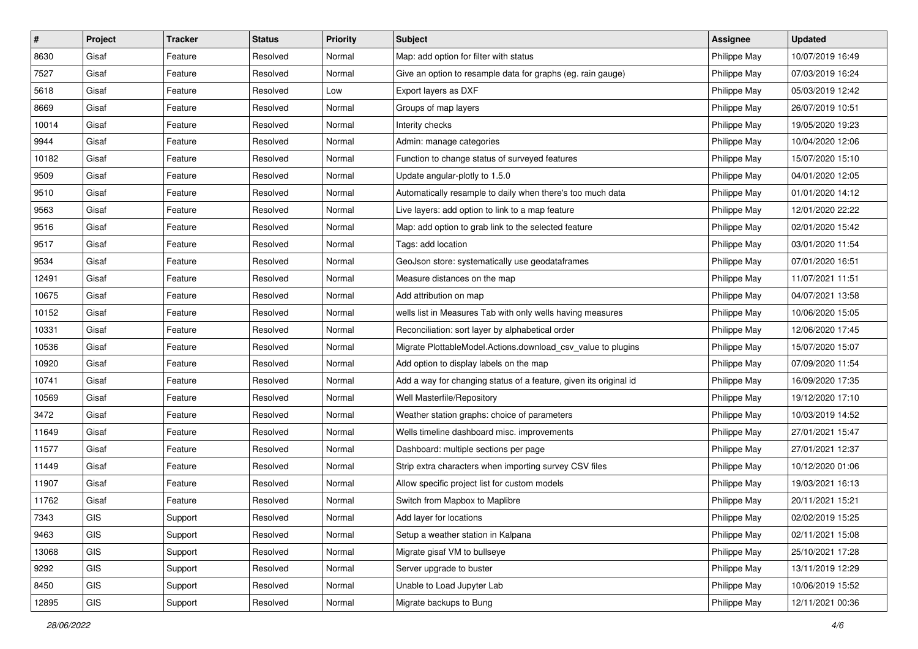| #     | Project    | <b>Tracker</b> | <b>Status</b> | <b>Priority</b> | <b>Subject</b>                                                    | <b>Assignee</b> | <b>Updated</b>   |
|-------|------------|----------------|---------------|-----------------|-------------------------------------------------------------------|-----------------|------------------|
| 8630  | Gisaf      | Feature        | Resolved      | Normal          | Map: add option for filter with status                            | Philippe May    | 10/07/2019 16:49 |
| 7527  | Gisaf      | Feature        | Resolved      | Normal          | Give an option to resample data for graphs (eg. rain gauge)       | Philippe May    | 07/03/2019 16:24 |
| 5618  | Gisaf      | Feature        | Resolved      | Low             | Export layers as DXF                                              | Philippe May    | 05/03/2019 12:42 |
| 8669  | Gisaf      | Feature        | Resolved      | Normal          | Groups of map layers                                              | Philippe May    | 26/07/2019 10:51 |
| 10014 | Gisaf      | Feature        | Resolved      | Normal          | Interity checks                                                   | Philippe May    | 19/05/2020 19:23 |
| 9944  | Gisaf      | Feature        | Resolved      | Normal          | Admin: manage categories                                          | Philippe May    | 10/04/2020 12:06 |
| 10182 | Gisaf      | Feature        | Resolved      | Normal          | Function to change status of surveyed features                    | Philippe May    | 15/07/2020 15:10 |
| 9509  | Gisaf      | Feature        | Resolved      | Normal          | Update angular-plotly to 1.5.0                                    | Philippe May    | 04/01/2020 12:05 |
| 9510  | Gisaf      | Feature        | Resolved      | Normal          | Automatically resample to daily when there's too much data        | Philippe May    | 01/01/2020 14:12 |
| 9563  | Gisaf      | Feature        | Resolved      | Normal          | Live layers: add option to link to a map feature                  | Philippe May    | 12/01/2020 22:22 |
| 9516  | Gisaf      | Feature        | Resolved      | Normal          | Map: add option to grab link to the selected feature              | Philippe May    | 02/01/2020 15:42 |
| 9517  | Gisaf      | Feature        | Resolved      | Normal          | Tags: add location                                                | Philippe May    | 03/01/2020 11:54 |
| 9534  | Gisaf      | Feature        | Resolved      | Normal          | GeoJson store: systematically use geodataframes                   | Philippe May    | 07/01/2020 16:51 |
| 12491 | Gisaf      | Feature        | Resolved      | Normal          | Measure distances on the map                                      | Philippe May    | 11/07/2021 11:51 |
| 10675 | Gisaf      | Feature        | Resolved      | Normal          | Add attribution on map                                            | Philippe May    | 04/07/2021 13:58 |
| 10152 | Gisaf      | Feature        | Resolved      | Normal          | wells list in Measures Tab with only wells having measures        | Philippe May    | 10/06/2020 15:05 |
| 10331 | Gisaf      | Feature        | Resolved      | Normal          | Reconciliation: sort layer by alphabetical order                  | Philippe May    | 12/06/2020 17:45 |
| 10536 | Gisaf      | Feature        | Resolved      | Normal          | Migrate PlottableModel.Actions.download_csv_value to plugins      | Philippe May    | 15/07/2020 15:07 |
| 10920 | Gisaf      | Feature        | Resolved      | Normal          | Add option to display labels on the map                           | Philippe May    | 07/09/2020 11:54 |
| 10741 | Gisaf      | Feature        | Resolved      | Normal          | Add a way for changing status of a feature, given its original id | Philippe May    | 16/09/2020 17:35 |
| 10569 | Gisaf      | Feature        | Resolved      | Normal          | Well Masterfile/Repository                                        | Philippe May    | 19/12/2020 17:10 |
| 3472  | Gisaf      | Feature        | Resolved      | Normal          | Weather station graphs: choice of parameters                      | Philippe May    | 10/03/2019 14:52 |
| 11649 | Gisaf      | Feature        | Resolved      | Normal          | Wells timeline dashboard misc. improvements                       | Philippe May    | 27/01/2021 15:47 |
| 11577 | Gisaf      | Feature        | Resolved      | Normal          | Dashboard: multiple sections per page                             | Philippe May    | 27/01/2021 12:37 |
| 11449 | Gisaf      | Feature        | Resolved      | Normal          | Strip extra characters when importing survey CSV files            | Philippe May    | 10/12/2020 01:06 |
| 11907 | Gisaf      | Feature        | Resolved      | Normal          | Allow specific project list for custom models                     | Philippe May    | 19/03/2021 16:13 |
| 11762 | Gisaf      | Feature        | Resolved      | Normal          | Switch from Mapbox to Maplibre                                    | Philippe May    | 20/11/2021 15:21 |
| 7343  | GIS        | Support        | Resolved      | Normal          | Add layer for locations                                           | Philippe May    | 02/02/2019 15:25 |
| 9463  | <b>GIS</b> | Support        | Resolved      | Normal          | Setup a weather station in Kalpana                                | Philippe May    | 02/11/2021 15:08 |
| 13068 | GIS        | Support        | Resolved      | Normal          | Migrate gisaf VM to bullseye                                      | Philippe May    | 25/10/2021 17:28 |
| 9292  | GIS        | Support        | Resolved      | Normal          | Server upgrade to buster                                          | Philippe May    | 13/11/2019 12:29 |
| 8450  | GIS        | Support        | Resolved      | Normal          | Unable to Load Jupyter Lab                                        | Philippe May    | 10/06/2019 15:52 |
| 12895 | GIS        | Support        | Resolved      | Normal          | Migrate backups to Bung                                           | Philippe May    | 12/11/2021 00:36 |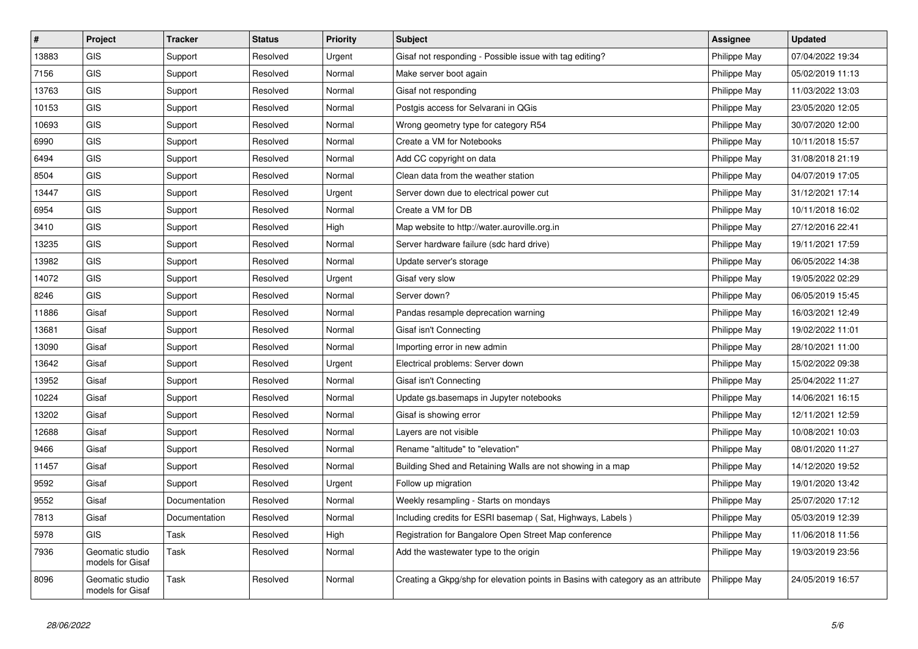| $\sharp$ | Project                             | <b>Tracker</b> | <b>Status</b> | <b>Priority</b> | Subject                                                                          | <b>Assignee</b> | <b>Updated</b>   |
|----------|-------------------------------------|----------------|---------------|-----------------|----------------------------------------------------------------------------------|-----------------|------------------|
| 13883    | <b>GIS</b>                          | Support        | Resolved      | Urgent          | Gisaf not responding - Possible issue with tag editing?                          | Philippe May    | 07/04/2022 19:34 |
| 7156     | <b>GIS</b>                          | Support        | Resolved      | Normal          | Make server boot again                                                           | Philippe May    | 05/02/2019 11:13 |
| 13763    | <b>GIS</b>                          | Support        | Resolved      | Normal          | Gisaf not responding                                                             | Philippe May    | 11/03/2022 13:03 |
| 10153    | GIS                                 | Support        | Resolved      | Normal          | Postgis access for Selvarani in QGis                                             | Philippe May    | 23/05/2020 12:05 |
| 10693    | GIS                                 | Support        | Resolved      | Normal          | Wrong geometry type for category R54                                             | Philippe May    | 30/07/2020 12:00 |
| 6990     | GIS                                 | Support        | Resolved      | Normal          | Create a VM for Notebooks                                                        | Philippe May    | 10/11/2018 15:57 |
| 6494     | <b>GIS</b>                          | Support        | Resolved      | Normal          | Add CC copyright on data                                                         | Philippe May    | 31/08/2018 21:19 |
| 8504     | <b>GIS</b>                          | Support        | Resolved      | Normal          | Clean data from the weather station                                              | Philippe May    | 04/07/2019 17:05 |
| 13447    | <b>GIS</b>                          | Support        | Resolved      | Urgent          | Server down due to electrical power cut                                          | Philippe May    | 31/12/2021 17:14 |
| 6954     | <b>GIS</b>                          | Support        | Resolved      | Normal          | Create a VM for DB                                                               | Philippe May    | 10/11/2018 16:02 |
| 3410     | <b>GIS</b>                          | Support        | Resolved      | High            | Map website to http://water.auroville.org.in                                     | Philippe May    | 27/12/2016 22:41 |
| 13235    | <b>GIS</b>                          | Support        | Resolved      | Normal          | Server hardware failure (sdc hard drive)                                         | Philippe May    | 19/11/2021 17:59 |
| 13982    | <b>GIS</b>                          | Support        | Resolved      | Normal          | Update server's storage                                                          | Philippe May    | 06/05/2022 14:38 |
| 14072    | <b>GIS</b>                          | Support        | Resolved      | Urgent          | Gisaf very slow                                                                  | Philippe May    | 19/05/2022 02:29 |
| 8246     | <b>GIS</b>                          | Support        | Resolved      | Normal          | Server down?                                                                     | Philippe May    | 06/05/2019 15:45 |
| 11886    | Gisaf                               | Support        | Resolved      | Normal          | Pandas resample deprecation warning                                              | Philippe May    | 16/03/2021 12:49 |
| 13681    | Gisaf                               | Support        | Resolved      | Normal          | Gisaf isn't Connecting                                                           | Philippe May    | 19/02/2022 11:01 |
| 13090    | Gisaf                               | Support        | Resolved      | Normal          | Importing error in new admin                                                     | Philippe May    | 28/10/2021 11:00 |
| 13642    | Gisaf                               | Support        | Resolved      | Urgent          | Electrical problems: Server down                                                 | Philippe May    | 15/02/2022 09:38 |
| 13952    | Gisaf                               | Support        | Resolved      | Normal          | Gisaf isn't Connecting                                                           | Philippe May    | 25/04/2022 11:27 |
| 10224    | Gisaf                               | Support        | Resolved      | Normal          | Update gs.basemaps in Jupyter notebooks                                          | Philippe May    | 14/06/2021 16:15 |
| 13202    | Gisaf                               | Support        | Resolved      | Normal          | Gisaf is showing error                                                           | Philippe May    | 12/11/2021 12:59 |
| 12688    | Gisaf                               | Support        | Resolved      | Normal          | Layers are not visible                                                           | Philippe May    | 10/08/2021 10:03 |
| 9466     | Gisaf                               | Support        | Resolved      | Normal          | Rename "altitude" to "elevation"                                                 | Philippe May    | 08/01/2020 11:27 |
| 11457    | Gisaf                               | Support        | Resolved      | Normal          | Building Shed and Retaining Walls are not showing in a map                       | Philippe May    | 14/12/2020 19:52 |
| 9592     | Gisaf                               | Support        | Resolved      | Urgent          | Follow up migration                                                              | Philippe May    | 19/01/2020 13:42 |
| 9552     | Gisaf                               | Documentation  | Resolved      | Normal          | Weekly resampling - Starts on mondays                                            | Philippe May    | 25/07/2020 17:12 |
| 7813     | Gisaf                               | Documentation  | Resolved      | Normal          | Including credits for ESRI basemap (Sat, Highways, Labels)                       | Philippe May    | 05/03/2019 12:39 |
| 5978     | <b>GIS</b>                          | Task           | Resolved      | High            | Registration for Bangalore Open Street Map conference                            | Philippe May    | 11/06/2018 11:56 |
| 7936     | Geomatic studio<br>models for Gisaf | Task           | Resolved      | Normal          | Add the wastewater type to the origin                                            | Philippe May    | 19/03/2019 23:56 |
| 8096     | Geomatic studio<br>models for Gisaf | Task           | Resolved      | Normal          | Creating a Gkpg/shp for elevation points in Basins with category as an attribute | Philippe May    | 24/05/2019 16:57 |